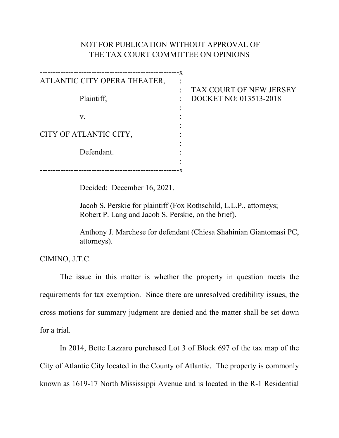## NOT FOR PUBLICATION WITHOUT APPROVAL OF THE TAX COURT COMMITTEE ON OPINIONS

| ATLANTIC CITY OPERA THEATER, |  |
|------------------------------|--|
|                              |  |
| Plaintiff,                   |  |
|                              |  |
| ${\bf V}$ .                  |  |
|                              |  |
| CITY OF ATLANTIC CITY,       |  |
|                              |  |
| Defendant.                   |  |
|                              |  |
|                              |  |

## AX COURT OF NEW JERSEY **OCKET NO: 013513-2018**

Decided: December 16, 2021.

Jacob S. Perskie for plaintiff (Fox Rothschild, L.L.P., attorneys; Robert P. Lang and Jacob S. Perskie, on the brief).

Anthony J. Marchese for defendant (Chiesa Shahinian Giantomasi PC, attorneys).

CIMINO, J.T.C.

The issue in this matter is whether the property in question meets the requirements for tax exemption. Since there are unresolved credibility issues, the cross-motions for summary judgment are denied and the matter shall be set down for a trial.

In 2014, Bette Lazzaro purchased Lot 3 of Block 697 of the tax map of the City of Atlantic City located in the County of Atlantic. The property is commonly known as 1619-17 North Mississippi Avenue and is located in the R-1 Residential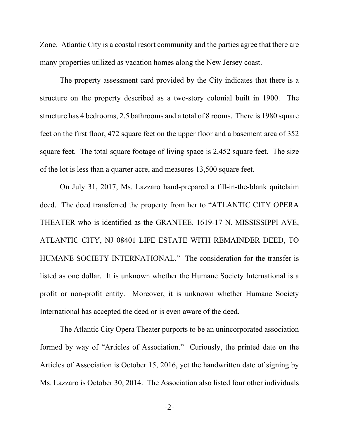Zone. Atlantic City is a coastal resort community and the parties agree that there are many properties utilized as vacation homes along the New Jersey coast.

The property assessment card provided by the City indicates that there is a structure on the property described as a two-story colonial built in 1900. The structure has 4 bedrooms, 2.5 bathrooms and a total of 8 rooms. There is 1980 square feet on the first floor, 472 square feet on the upper floor and a basement area of 352 square feet. The total square footage of living space is 2,452 square feet. The size of the lot is less than a quarter acre, and measures 13,500 square feet.

On July 31, 2017, Ms. Lazzaro hand-prepared a fill-in-the-blank quitclaim deed. The deed transferred the property from her to "ATLANTIC CITY OPERA THEATER who is identified as the GRANTEE. 1619-17 N. MISSISSIPPI AVE, ATLANTIC CITY, NJ 08401 LIFE ESTATE WITH REMAINDER DEED, TO HUMANE SOCIETY INTERNATIONAL." The consideration for the transfer is listed as one dollar. It is unknown whether the Humane Society International is a profit or non-profit entity. Moreover, it is unknown whether Humane Society International has accepted the deed or is even aware of the deed.

The Atlantic City Opera Theater purports to be an unincorporated association formed by way of "Articles of Association." Curiously, the printed date on the Articles of Association is October 15, 2016, yet the handwritten date of signing by Ms. Lazzaro is October 30, 2014. The Association also listed four other individuals

-2-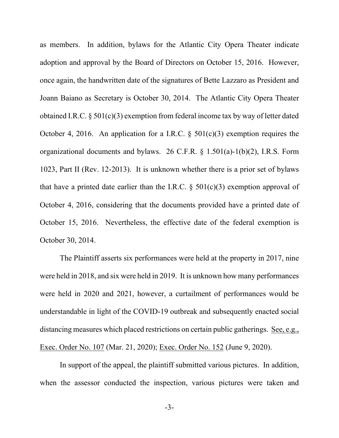as members. In addition, bylaws for the Atlantic City Opera Theater indicate adoption and approval by the Board of Directors on October 15, 2016. However, once again, the handwritten date of the signatures of Bette Lazzaro as President and Joann Baiano as Secretary is October 30, 2014. The Atlantic City Opera Theater obtained I.R.C. § 501(c)(3) exemption from federal income tax by way of letter dated October 4, 2016. An application for a I.R.C.  $\S$  501(c)(3) exemption requires the organizational documents and bylaws. 26 C.F.R. § 1.501(a)-1(b)(2), I.R.S. Form 1023, Part II (Rev. 12-2013). It is unknown whether there is a prior set of bylaws that have a printed date earlier than the I.R.C.  $\S$  501(c)(3) exemption approval of October 4, 2016, considering that the documents provided have a printed date of October 15, 2016. Nevertheless, the effective date of the federal exemption is October 30, 2014.

The Plaintiff asserts six performances were held at the property in 2017, nine were held in 2018, and six were held in 2019. It is unknown how many performances were held in 2020 and 2021, however, a curtailment of performances would be understandable in light of the COVID-19 outbreak and subsequently enacted social distancing measures which placed restrictions on certain public gatherings. See, e.g., Exec. Order No. 107 (Mar. 21, 2020); Exec. Order No. 152 (June 9, 2020).

In support of the appeal, the plaintiff submitted various pictures. In addition, when the assessor conducted the inspection, various pictures were taken and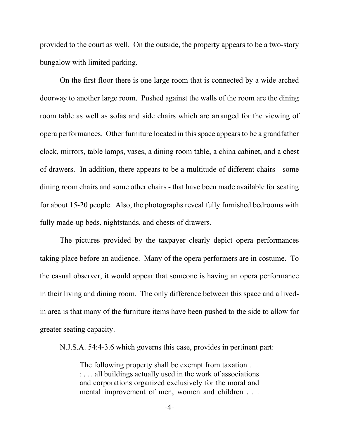provided to the court as well. On the outside, the property appears to be a two-story bungalow with limited parking.

On the first floor there is one large room that is connected by a wide arched doorway to another large room. Pushed against the walls of the room are the dining room table as well as sofas and side chairs which are arranged for the viewing of opera performances. Other furniture located in this space appears to be a grandfather clock, mirrors, table lamps, vases, a dining room table, a china cabinet, and a chest of drawers. In addition, there appears to be a multitude of different chairs - some dining room chairs and some other chairs - that have been made available for seating for about 15-20 people. Also, the photographs reveal fully furnished bedrooms with fully made-up beds, nightstands, and chests of drawers.

The pictures provided by the taxpayer clearly depict opera performances taking place before an audience. Many of the opera performers are in costume. To the casual observer, it would appear that someone is having an opera performance in their living and dining room. The only difference between this space and a livedin area is that many of the furniture items have been pushed to the side to allow for greater seating capacity.

N.J.S.A. 54:4-3.6 which governs this case, provides in pertinent part:

The following property shall be exempt from taxation . . . : . . . all buildings actually used in the work of associations and corporations organized exclusively for the moral and mental improvement of men, women and children . . .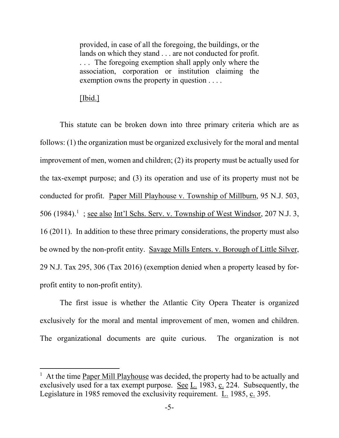provided, in case of all the foregoing, the buildings, or the lands on which they stand . . . are not conducted for profit. . . . The foregoing exemption shall apply only where the association, corporation or institution claiming the exemption owns the property in question . . . .

## [Ibid.]

This statute can be broken down into three primary criteria which are as follows: (1) the organization must be organized exclusively for the moral and mental improvement of men, women and children; (2) its property must be actually used for the tax-exempt purpose; and (3) its operation and use of its property must not be conducted for profit. Paper Mill Playhouse v. Township of Millburn, 95 N.J. 503, 506 ([1](#page-4-0)984).<sup>1</sup>; <u>see also Int'l Schs. Serv. v. Township of West Windsor</u>, 207 N.J. 3, 16 (2011). In addition to these three primary considerations, the property must also be owned by the non-profit entity. Savage Mills Enters. v. Borough of Little Silver, 29 N.J. Tax 295, 306 (Tax 2016) (exemption denied when a property leased by forprofit entity to non-profit entity).

The first issue is whether the Atlantic City Opera Theater is organized exclusively for the moral and mental improvement of men, women and children. The organizational documents are quite curious. The organization is not

<span id="page-4-0"></span><sup>&</sup>lt;sup>1</sup> At the time Paper Mill Playhouse was decided, the property had to be actually and exclusively used for a tax exempt purpose. See  $L$ . 1983,  $c$ . 224. Subsequently, the Legislature in 1985 removed the exclusivity requirement. L. 1985, c. 395.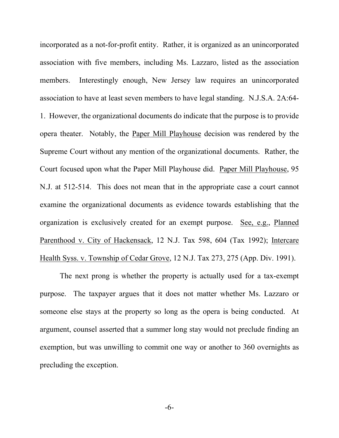incorporated as a not-for-profit entity. Rather, it is organized as an unincorporated association with five members, including Ms. Lazzaro, listed as the association members. Interestingly enough, New Jersey law requires an unincorporated association to have at least seven members to have legal standing. N.J.S.A. 2A:64- 1. However, the organizational documents do indicate that the purpose is to provide opera theater. Notably, the Paper Mill Playhouse decision was rendered by the Supreme Court without any mention of the organizational documents. Rather, the Court focused upon what the Paper Mill Playhouse did. Paper Mill Playhouse, 95 N.J. at 512-514. This does not mean that in the appropriate case a court cannot examine the organizational documents as evidence towards establishing that the organization is exclusively created for an exempt purpose. See, e.g., Planned Parenthood v. City of Hackensack, 12 N.J. Tax 598, 604 (Tax 1992); Intercare Health Syss. v. Township of Cedar Grove, 12 N.J. Tax 273, 275 (App. Div. 1991).

The next prong is whether the property is actually used for a tax-exempt purpose. The taxpayer argues that it does not matter whether Ms. Lazzaro or someone else stays at the property so long as the opera is being conducted. At argument, counsel asserted that a summer long stay would not preclude finding an exemption, but was unwilling to commit one way or another to 360 overnights as precluding the exception.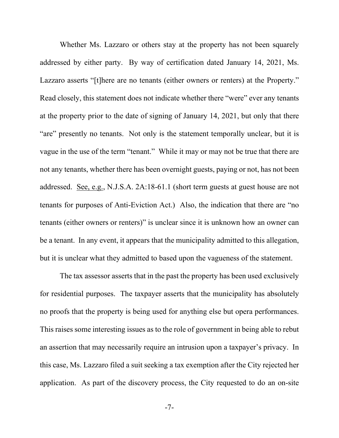Whether Ms. Lazzaro or others stay at the property has not been squarely addressed by either party. By way of certification dated January 14, 2021, Ms. Lazzaro asserts "[t]here are no tenants (either owners or renters) at the Property." Read closely, this statement does not indicate whether there "were" ever any tenants at the property prior to the date of signing of January 14, 2021, but only that there "are" presently no tenants. Not only is the statement temporally unclear, but it is vague in the use of the term "tenant." While it may or may not be true that there are not any tenants, whether there has been overnight guests, paying or not, has not been addressed. See, e.g., N.J.S.A. 2A:18-61.1 (short term guests at guest house are not tenants for purposes of Anti-Eviction Act.) Also, the indication that there are "no tenants (either owners or renters)" is unclear since it is unknown how an owner can be a tenant. In any event, it appears that the municipality admitted to this allegation, but it is unclear what they admitted to based upon the vagueness of the statement.

The tax assessor asserts that in the past the property has been used exclusively for residential purposes. The taxpayer asserts that the municipality has absolutely no proofs that the property is being used for anything else but opera performances. This raises some interesting issues as to the role of government in being able to rebut an assertion that may necessarily require an intrusion upon a taxpayer's privacy. In this case, Ms. Lazzaro filed a suit seeking a tax exemption after the City rejected her application. As part of the discovery process, the City requested to do an on-site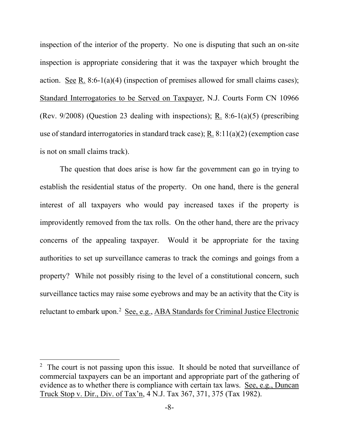inspection of the interior of the property. No one is disputing that such an on-site inspection is appropriate considering that it was the taxpayer which brought the action. See R. 8:6-1(a)(4) (inspection of premises allowed for small claims cases); Standard Interrogatories to be Served on Taxpayer, N.J. Courts Form CN 10966 (Rev. 9/2008) (Question 23 dealing with inspections); R. 8:6-1(a)(5) (prescribing use of standard interrogatories in standard track case); R. 8:11(a)(2) (exemption case is not on small claims track).

The question that does arise is how far the government can go in trying to establish the residential status of the property. On one hand, there is the general interest of all taxpayers who would pay increased taxes if the property is improvidently removed from the tax rolls. On the other hand, there are the privacy concerns of the appealing taxpayer. Would it be appropriate for the taxing authorities to set up surveillance cameras to track the comings and goings from a property? While not possibly rising to the level of a constitutional concern, such surveillance tactics may raise some eyebrows and may be an activity that the City is reluctant to embark upon.<sup>[2](#page-7-0)</sup> See, e.g., ABA Standards for Criminal Justice Electronic

<span id="page-7-0"></span><sup>&</sup>lt;sup>2</sup> The court is not passing upon this issue. It should be noted that surveillance of commercial taxpayers can be an important and appropriate part of the gathering of evidence as to whether there is compliance with certain tax laws. See, e.g., Duncan Truck Stop v. Dir., Div. of Tax'n, 4 N.J. Tax 367, 371, 375 (Tax 1982).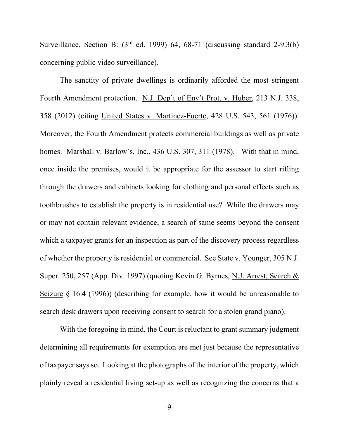Surveillance, Section B:  $(3<sup>rd</sup>$  ed. 1999) 64, 68-71 (discussing standard 2-9.3(b) concerning public video surveillance).

The sanctity of private dwellings is ordinarily afforded the most stringent Fourth Amendment protection. N.J. Dep't of Env't Prot. v. Huber, 213 N.J. 338, 358 (2012) (citing United States v. Martinez-Fuerte, 428 U.S. 543, 561 (1976)). Moreover, the Fourth Amendment protects commercial buildings as well as private homes. Marshall v. Barlow's, Inc., 436 U.S. 307, 311 (1978). With that in mind, once inside the premises, would it be appropriate for the assessor to start rifling through the drawers and cabinets looking for clothing and personal effects such as toothbrushes to establish the property is in residential use? While the drawers may or may not contain relevant evidence, a search of same seems beyond the consent which a taxpayer grants for an inspection as part of the discovery process regardless of whether the property is residential or commercial. See State v. Younger, 305 N.J. Super. 250, 257 (App. Div. 1997) (quoting Kevin G. Byrnes, N.J. Arrest, Search & Seizure § 16.4 (1996)) (describing for example, how it would be unreasonable to search desk drawers upon receiving consent to search for a stolen grand piano).

With the foregoing in mind, the Court is reluctant to grant summary judgment determining all requirements for exemption are met just because the representative of taxpayer saysso. Looking at the photographs of the interior of the property, which plainly reveal a residential living set-up as well as recognizing the concerns that a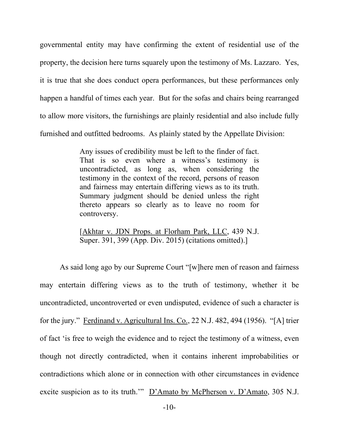governmental entity may have confirming the extent of residential use of the property, the decision here turns squarely upon the testimony of Ms. Lazzaro. Yes, it is true that she does conduct opera performances, but these performances only happen a handful of times each year. But for the sofas and chairs being rearranged to allow more visitors, the furnishings are plainly residential and also include fully furnished and outfitted bedrooms. As plainly stated by the Appellate Division:

> Any issues of credibility must be left to the finder of fact. That is so even where a witness's testimony is uncontradicted, as long as, when considering the testimony in the context of the record, persons of reason and fairness may entertain differing views as to its truth. Summary judgment should be denied unless the right thereto appears so clearly as to leave no room for controversy.

> [Akhtar v. JDN Props. at Florham Park, LLC, 439 N.J. Super. 391, 399 (App. Div. 2015) (citations omitted).]

As said long ago by our Supreme Court "[w]here men of reason and fairness may entertain differing views as to the truth of testimony, whether it be uncontradicted, uncontroverted or even undisputed, evidence of such a character is for the jury." Ferdinand v. Agricultural Ins. Co., 22 N.J. 482, 494 (1956). "[A] trier of fact 'is free to weigh the evidence and to reject the testimony of a witness, even though not directly contradicted, when it contains inherent improbabilities or contradictions which alone or in connection with other circumstances in evidence excite suspicion as to its truth.'" D'Amato by McPherson v. D'Amato, 305 N.J.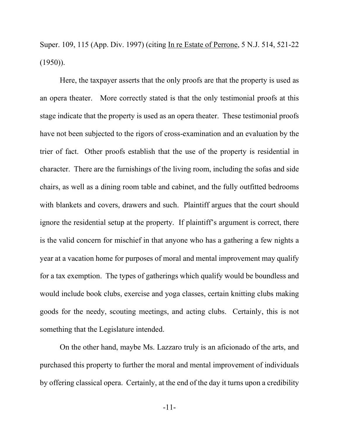Super. 109, 115 (App. Div. 1997) (citing In re Estate of Perrone, 5 N.J. 514, 521-22  $(1950)$ ).

Here, the taxpayer asserts that the only proofs are that the property is used as an opera theater. More correctly stated is that the only testimonial proofs at this stage indicate that the property is used as an opera theater. These testimonial proofs have not been subjected to the rigors of cross-examination and an evaluation by the trier of fact. Other proofs establish that the use of the property is residential in character. There are the furnishings of the living room, including the sofas and side chairs, as well as a dining room table and cabinet, and the fully outfitted bedrooms with blankets and covers, drawers and such. Plaintiff argues that the court should ignore the residential setup at the property. If plaintiff's argument is correct, there is the valid concern for mischief in that anyone who has a gathering a few nights a year at a vacation home for purposes of moral and mental improvement may qualify for a tax exemption. The types of gatherings which qualify would be boundless and would include book clubs, exercise and yoga classes, certain knitting clubs making goods for the needy, scouting meetings, and acting clubs. Certainly, this is not something that the Legislature intended.

On the other hand, maybe Ms. Lazzaro truly is an aficionado of the arts, and purchased this property to further the moral and mental improvement of individuals by offering classical opera. Certainly, at the end of the day it turns upon a credibility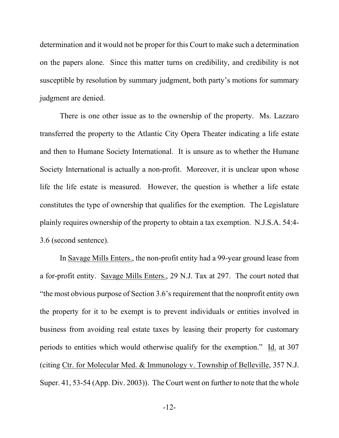determination and it would not be proper for this Court to make such a determination on the papers alone. Since this matter turns on credibility, and credibility is not susceptible by resolution by summary judgment, both party's motions for summary judgment are denied.

There is one other issue as to the ownership of the property. Ms. Lazzaro transferred the property to the Atlantic City Opera Theater indicating a life estate and then to Humane Society International. It is unsure as to whether the Humane Society International is actually a non-profit. Moreover, it is unclear upon whose life the life estate is measured. However, the question is whether a life estate constitutes the type of ownership that qualifies for the exemption. The Legislature plainly requires ownership of the property to obtain a tax exemption. N.J.S.A. 54:4- 3.6 (second sentence).

In Savage Mills Enters., the non-profit entity had a 99-year ground lease from a for-profit entity. Savage Mills Enters., 29 N.J. Tax at 297. The court noted that "the most obvious purpose of Section 3.6's requirement that the nonprofit entity own the property for it to be exempt is to prevent individuals or entities involved in business from avoiding real estate taxes by leasing their property for customary periods to entities which would otherwise qualify for the exemption." Id. at 307 (citing Ctr. for Molecular Med. & Immunology v. Township of Belleville, 357 N.J. Super. 41, 53-54 (App. Div. 2003)). The Court went on further to note that the whole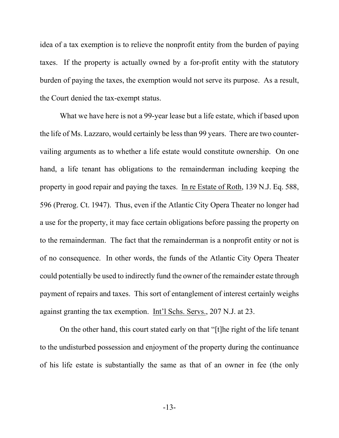idea of a tax exemption is to relieve the nonprofit entity from the burden of paying taxes. If the property is actually owned by a for-profit entity with the statutory burden of paying the taxes, the exemption would not serve its purpose. As a result, the Court denied the tax-exempt status.

What we have here is not a 99-year lease but a life estate, which if based upon the life of Ms. Lazzaro, would certainly be less than 99 years. There are two countervailing arguments as to whether a life estate would constitute ownership. On one hand, a life tenant has obligations to the remainderman including keeping the property in good repair and paying the taxes. In re Estate of Roth, 139 N.J. Eq. 588, 596 (Prerog. Ct. 1947). Thus, even if the Atlantic City Opera Theater no longer had a use for the property, it may face certain obligations before passing the property on to the remainderman. The fact that the remainderman is a nonprofit entity or not is of no consequence. In other words, the funds of the Atlantic City Opera Theater could potentially be used to indirectly fund the owner of the remainder estate through payment of repairs and taxes. This sort of entanglement of interest certainly weighs against granting the tax exemption. Int'l Schs. Servs., 207 N.J. at 23.

On the other hand, this court stated early on that "[t]he right of the life tenant to the undisturbed possession and enjoyment of the property during the continuance of his life estate is substantially the same as that of an owner in fee (the only